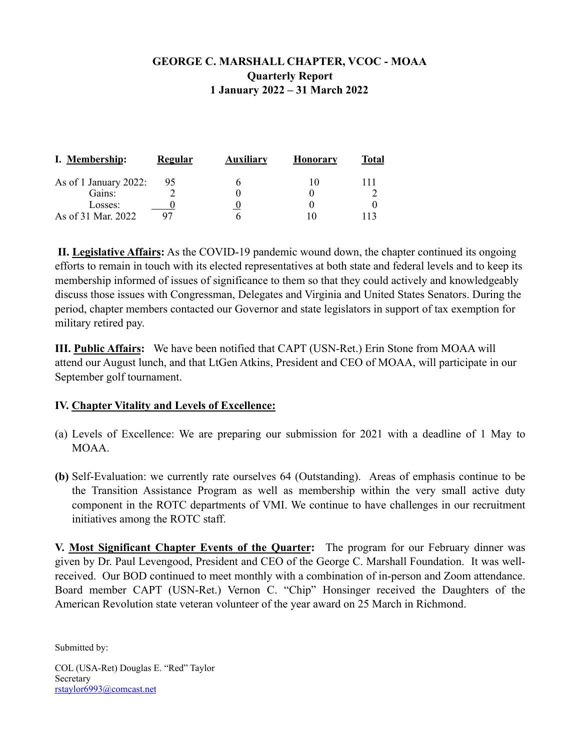## **GEORGE C. MARSHALL CHAPTER, VCOC - MOAA Quarterly Report 1 January 2022 – 31 March 2022**

| I. Membership:        | <u>Regular</u> | <u>Auxiliarv</u> | <b>Honorary</b> | <b>Total</b> |
|-----------------------|----------------|------------------|-----------------|--------------|
| As of 1 January 2022: | 95             | h                |                 |              |
| Gains:                |                |                  |                 |              |
| Losses:               |                |                  |                 |              |
| As of 31 Mar. 2022    | 97             |                  |                 |              |

**II. Legislative Affairs:** As the COVID-19 pandemic wound down, the chapter continued its ongoing efforts to remain in touch with its elected representatives at both state and federal levels and to keep its membership informed of issues of significance to them so that they could actively and knowledgeably discuss those issues with Congressman, Delegates and Virginia and United States Senators. During the period, chapter members contacted our Governor and state legislators in support of tax exemption for military retired pay.

**III. Public Affairs:** We have been notified that CAPT (USN-Ret.) Erin Stone from MOAA will attend our August lunch, and that LtGen Atkins, President and CEO of MOAA, will participate in our September golf tournament.

## **IV. Chapter Vitality and Levels of Excellence:**

- (a) Levels of Excellence: We are preparing our submission for 2021 with a deadline of 1 May to MOAA.
- **(b)** Self-Evaluation: we currently rate ourselves 64 (Outstanding). Areas of emphasis continue to be the Transition Assistance Program as well as membership within the very small active duty component in the ROTC departments of VMI. We continue to have challenges in our recruitment initiatives among the ROTC staff.

**V. Most Significant Chapter Events of the Quarter:** The program for our February dinner was given by Dr. Paul Levengood, President and CEO of the George C. Marshall Foundation. It was wellreceived. Our BOD continued to meet monthly with a combination of in-person and Zoom attendance. Board member CAPT (USN-Ret.) Vernon C. "Chip" Honsinger received the Daughters of the American Revolution state veteran volunteer of the year award on 25 March in Richmond.

Submitted by:

COL (USA-Ret) Douglas E. "Red" Taylor Secretary [rstaylor6993@comcast.net](mailto:rtaylor@vmiaa.org)